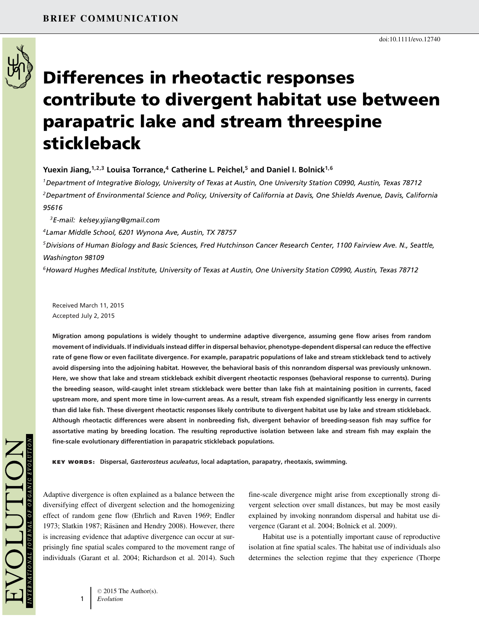

# **Differences in rheotactic responses contribute to divergent habitat use between parapatric lake and stream threespine stickleback**

**Yuexin Jiang,1,2,3 Louisa Torrance,<sup>4</sup> Catherine L. Peichel,5 and Daniel I. Bolnick1,6**

*1Department of Integrative Biology, University of Texas at Austin, One University Station C0990, Austin, Texas 78712 2Department of Environmental Science and Policy, University of California at Davis, One Shields Avenue, Davis, California 95616*

*3E-mail: kelsey.yjiang@gmail.com*

*4Lamar Middle School, 6201 Wynona Ave, Austin, TX 78757*

*5Divisions of Human Biology and Basic Sciences, Fred Hutchinson Cancer Research Center, 1100 Fairview Ave. N., Seattle, Washington 98109*

*6Howard Hughes Medical Institute, University of Texas at Austin, One University Station C0990, Austin, Texas 78712*

Received March 11, 2015 Accepted July 2, 2015

**Migration among populations is widely thought to undermine adaptive divergence, assuming gene flow arises from random movement of individuals. If individuals instead differ in dispersal behavior, phenotype-dependent dispersal can reduce the effective rate of gene flow or even facilitate divergence. For example, parapatric populations of lake and stream stickleback tend to actively avoid dispersing into the adjoining habitat. However, the behavioral basis of this nonrandom dispersal was previously unknown. Here, we show that lake and stream stickleback exhibit divergent rheotactic responses (behavioral response to currents). During the breeding season, wild-caught inlet stream stickleback were better than lake fish at maintaining position in currents, faced upstream more, and spent more time in low-current areas. As a result, stream fish expended significantly less energy in currents than did lake fish. These divergent rheotactic responses likely contribute to divergent habitat use by lake and stream stickleback. Although rheotactic differences were absent in nonbreeding fish, divergent behavior of breeding-season fish may suffice for assortative mating by breeding location. The resulting reproductive isolation between lake and stream fish may explain the fine-scale evolutionary differentiation in parapatric stickleback populations.**

**KEY WORDS: Dispersal,** *Gasterosteus aculeatus***, local adaptation, parapatry, rheotaxis, swimming.**

Adaptive divergence is often explained as a balance between the diversifying effect of divergent selection and the homogenizing effect of random gene flow (Ehrlich and Raven 1969; Endler 1973; Slatkin 1987; Räsänen and Hendry 2008). However, there is increasing evidence that adaptive divergence can occur at surprisingly fine spatial scales compared to the movement range of individuals (Garant et al. 2004; Richardson et al. 2014). Such

fine-scale divergence might arise from exceptionally strong divergent selection over small distances, but may be most easily explained by invoking nonrandom dispersal and habitat use divergence (Garant et al. 2004; Bolnick et al. 2009).

Habitat use is a potentially important cause of reproductive isolation at fine spatial scales. The habitat use of individuals also determines the selection regime that they experience (Thorpe

1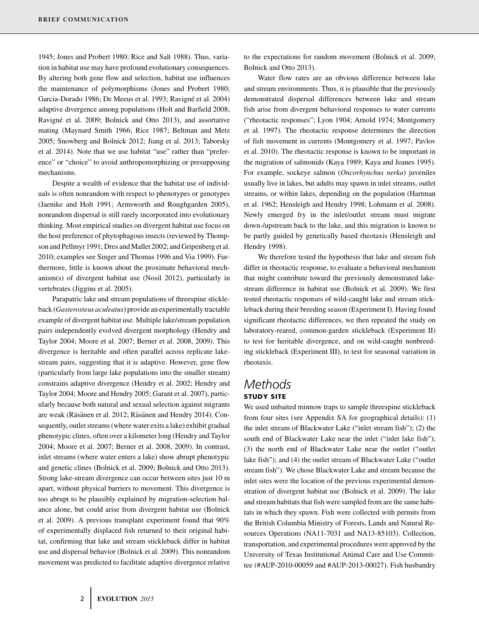1945; Jones and Probert 1980; Rice and Salt 1988). Thus, variation in habitat use may have profound evolutionary consequences. By altering both gene flow and selection, habitat use influences the maintenance of polymorphisms (Jones and Probert 1980; Garcia-Dorado 1986; De Meeus et al. 1993; Ravigné et al. 2004) adaptive divergence among populations (Holt and Barfield 2008; Ravigné et al. 2009; Bolnick and Otto 2013), and assortative mating (Maynard Smith 1966; Rice 1987; Beltman and Metz 2005; Snowberg and Bolnick 2012; Jiang et al. 2013; Taborsky et al. 2014). Note that we use habitat "use" rather than "preference" or "choice" to avoid anthropomorphizing or presupposing mechanisms.

Despite a wealth of evidence that the habitat use of individuals is often nonrandom with respect to phenotypes or genotypes (Jaenike and Holt 1991; Armsworth and Roughgarden 2005), nonrandom dispersal is still rarely incorporated into evolutionary thinking. Most empirical studies on divergent habitat use focus on the host preference of phytophagous insects (reviewed by Thompson and Pellmyr 1991; Dres and Mallet 2002; and Gripenberg et al. 2010; examples see Singer and Thomas 1996 and Via 1999). Furthermore, little is known about the proximate behavioral mechanism(s) of divergent habitat use (Nosil 2012), particularly in vertebrates (Jiggins et al. 2005).

Parapatric lake and stream populations of threespine stickleback (*Gasterosteus aculeatus*) provide an experimentally tractable example of divergent habitat use. Multiple lake/stream population pairs independently evolved divergent morphology (Hendry and Taylor 2004; Moore et al. 2007; Berner et al. 2008, 2009). This divergence is heritable and often parallel across replicate lakestream pairs, suggesting that it is adaptive. However, gene flow (particularly from large lake populations into the smaller stream) constrains adaptive divergence (Hendry et al. 2002; Hendry and Taylor 2004; Moore and Hendry 2005; Garant et al. 2007), particularly because both natural and sexual selection against migrants are weak (Räsänen et al. 2012; Räsänen and Hendry 2014). Consequently, outlet streams (where water exits a lake) exhibit gradual phenotypic clines, often over a kilometer long (Hendry and Taylor 2004; Moore et al. 2007; Berner et al. 2008, 2009). In contrast, inlet streams (where water enters a lake) show abrupt phenotypic and genetic clines (Bolnick et al. 2009; Bolnick and Otto 2013). Strong lake-stream divergence can occur between sites just 10 m apart, without physical barriers to movement. This divergence is too abrupt to be plausibly explained by migration-selection balance alone, but could arise from divergent habitat use (Bolnick et al. 2009). A previous transplant experiment found that 90% of experimentally displaced fish returned to their original habitat, confirming that lake and stream stickleback differ in habitat use and dispersal behavior (Bolnick et al. 2009). This nonrandom movement was predicted to facilitate adaptive divergence relative

to the expectations for random movement (Bolnick et al. 2009; Bolnick and Otto 2013).

Water flow rates are an obvious difference between lake and stream environments. Thus, it is plausible that the previously demonstrated dispersal differences between lake and stream fish arise from divergent behavioral responses to water currents ("rheotactic responses"; Lyon 1904; Arnold 1974; Montgomery et al. 1997). The rheotactic response determines the direction of fish movement in currents (Montgomery et al. 1997; Pavlov et al. 2010). The rheotactic response is known to be important in the migration of salmonids (Kaya 1989; Kaya and Jeanes 1995). For example, sockeye salmon (*Oncorhynchus nerka*) juveniles usually live in lakes, but adults may spawn in inlet streams, outlet streams, or within lakes, depending on the population (Hartman et al. 1962; Hensleigh and Hendry 1998; Lohmann et al. 2008). Newly emerged fry in the inlet/outlet stream must migrate down-/upstream back to the lake, and this migration is known to be partly guided by genetically based rheotaxis (Hensleigh and Hendry 1998).

We therefore tested the hypothesis that lake and stream fish differ in rheotactic response, to evaluate a behavioral mechanism that might contribute toward the previously demonstrated lakestream difference in habitat use (Bolnick et al. 2009). We first tested rheotactic responses of wild-caught lake and stream stickleback during their breeding season (Experiment I). Having found significant rheotactic differences, we then repeated the study on laboratory-reared, common-garden stickleback (Experiment II) to test for heritable divergence, and on wild-caught nonbreeding stickleback (Experiment III), to test for seasonal variation in rheotaxis.

# *Methods* **STUDY SITE**

We used unbaited minnow traps to sample threespine stickleback from four sites (see Appendix SA for geographical details): (1) the inlet stream of Blackwater Lake ("inlet stream fish"); (2) the south end of Blackwater Lake near the inlet ("inlet lake fish"); (3) the north end of Blackwater Lake near the outlet ("outlet lake fish"); and (4) the outlet stream of Blackwater Lake ("outlet stream fish"). We chose Blackwater Lake and stream because the inlet sites were the location of the previous experimental demonstration of divergent habitat use (Bolnick et al. 2009). The lake and stream habitats that fish were sampled from are the same habitats in which they spawn. Fish were collected with permits from the British Columbia Ministry of Forests, Lands and Natural Resources Operations (NA11-7031 and NA13-85103). Collection, transportation, and experimental procedures were approved by the University of Texas Institutional Animal Care and Use Committee (#AUP-2010-00059 and #AUP-2013-00027). Fish husbandry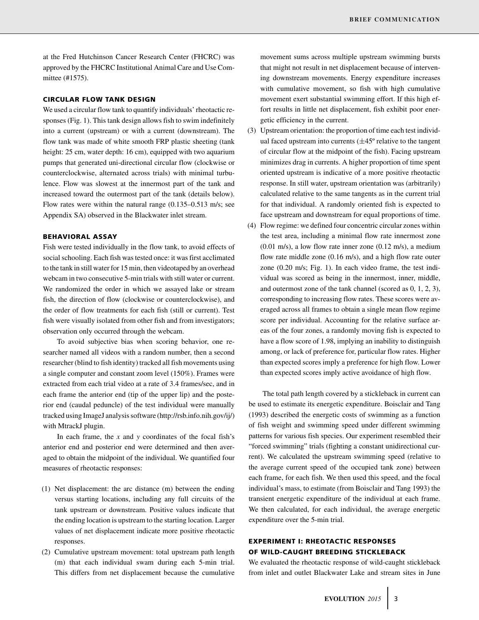at the Fred Hutchinson Cancer Research Center (FHCRC) was approved by the FHCRC Institutional Animal Care and Use Committee (#1575).

#### **CIRCULAR FLOW TANK DESIGN**

We used a circular flow tank to quantify individuals' rheotactic responses (Fig. 1). This tank design allows fish to swim indefinitely into a current (upstream) or with a current (downstream). The flow tank was made of white smooth FRP plastic sheeting (tank height: 25 cm, water depth: 16 cm), equipped with two aquarium pumps that generated uni-directional circular flow (clockwise or counterclockwise, alternated across trials) with minimal turbulence. Flow was slowest at the innermost part of the tank and increased toward the outermost part of the tank (details below). Flow rates were within the natural range (0.135–0.513 m/s; see Appendix SA) observed in the Blackwater inlet stream.

#### **BEHAVIORAL ASSAY**

Fish were tested individually in the flow tank, to avoid effects of social schooling. Each fish was tested once: it was first acclimated to the tank in still water for 15 min, then videotaped by an overhead webcam in two consecutive 5-min trials with still water or current. We randomized the order in which we assayed lake or stream fish, the direction of flow (clockwise or counterclockwise), and the order of flow treatments for each fish (still or current). Test fish were visually isolated from other fish and from investigators; observation only occurred through the webcam.

To avoid subjective bias when scoring behavior, one researcher named all videos with a random number, then a second researcher (blind to fish identity) tracked all fish movements using a single computer and constant zoom level (150%). Frames were extracted from each trial video at a rate of 3.4 frames/sec, and in each frame the anterior end (tip of the upper lip) and the posterior end (caudal peduncle) of the test individual were manually tracked using ImageJ analysis software (http://rsb.info.nih.gov/ij/) with MtrackJ plugin.

In each frame, the *x* and *y* coordinates of the focal fish's anterior end and posterior end were determined and then averaged to obtain the midpoint of the individual. We quantified four measures of rheotactic responses:

- (1) Net displacement: the arc distance (m) between the ending versus starting locations, including any full circuits of the tank upstream or downstream. Positive values indicate that the ending location is upstream to the starting location. Larger values of net displacement indicate more positive rheotactic responses.
- (2) Cumulative upstream movement: total upstream path length (m) that each individual swam during each 5-min trial. This differs from net displacement because the cumulative

movement sums across multiple upstream swimming bursts that might not result in net displacement because of intervening downstream movements. Energy expenditure increases with cumulative movement, so fish with high cumulative movement exert substantial swimming effort. If this high effort results in little net displacement, fish exhibit poor energetic efficiency in the current.

- (3) Upstream orientation: the proportion of time each test individual faced upstream into currents  $(\pm 45^{\circ}$  relative to the tangent of circular flow at the midpoint of the fish). Facing upstream minimizes drag in currents. A higher proportion of time spent oriented upstream is indicative of a more positive rheotactic response. In still water, upstream orientation was (arbitrarily) calculated relative to the same tangents as in the current trial for that individual. A randomly oriented fish is expected to face upstream and downstream for equal proportions of time.
- (4) Flow regime: we defined four concentric circular zones within the test area, including a minimal flow rate innermost zone (0.01 m/s), a low flow rate inner zone (0.12 m/s), a medium flow rate middle zone (0.16 m/s), and a high flow rate outer zone (0.20 m/s; Fig. 1). In each video frame, the test individual was scored as being in the innermost, inner, middle, and outermost zone of the tank channel (scored as 0, 1, 2, 3), corresponding to increasing flow rates. These scores were averaged across all frames to obtain a single mean flow regime score per individual. Accounting for the relative surface areas of the four zones, a randomly moving fish is expected to have a flow score of 1.98, implying an inability to distinguish among, or lack of preference for, particular flow rates. Higher than expected scores imply a preference for high flow. Lower than expected scores imply active avoidance of high flow.

The total path length covered by a stickleback in current can be used to estimate its energetic expenditure. Boisclair and Tang (1993) described the energetic costs of swimming as a function of fish weight and swimming speed under different swimming patterns for various fish species. Our experiment resembled their "forced swimming" trials (fighting a constant unidirectional current). We calculated the upstream swimming speed (relative to the average current speed of the occupied tank zone) between each frame, for each fish. We then used this speed, and the focal individual's mass, to estimate (from Boisclair and Tang 1993) the transient energetic expenditure of the individual at each frame. We then calculated, for each individual, the average energetic expenditure over the 5-min trial.

# **EXPERIMENT I: RHEOTACTIC RESPONSES OF WILD-CAUGHT BREEDING STICKLEBACK**

We evaluated the rheotactic response of wild-caught stickleback from inlet and outlet Blackwater Lake and stream sites in June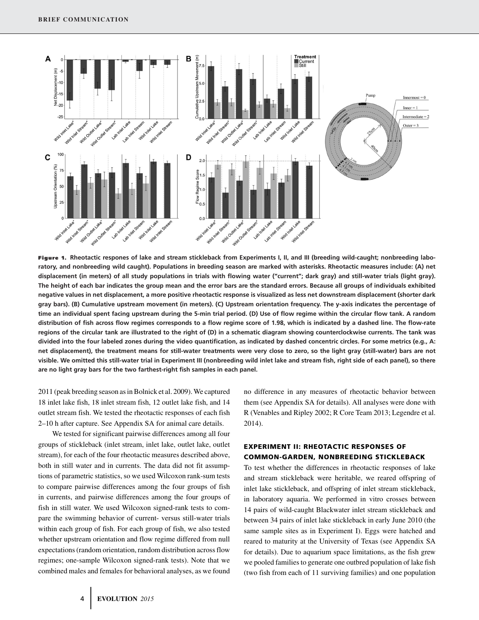

**Figure 1. Rheotactic respones of lake and stream stickleback from Experiments I, II, and III (breeding wild-caught; nonbreeding laboratory, and nonbreeding wild caught). Populations in breeding season are marked with asterisks. Rheotactic measures include: (A) net displacement (in meters) of all study populations in trials with flowing water ("current"; dark gray) and still-water trials (light gray). The height of each bar indicates the group mean and the error bars are the standard errors. Because all groups of individuals exhibited negative values in net displacement, a more positive rheotactic response is visualized as less net downstream displacement (shorter dark gray bars). (B) Cumulative upstream movement (in meters). (C) Upstream orientation frequency. The y-axis indicates the percentage of time an individual spent facing upstream during the 5-min trial period. (D) Use of flow regime within the circular flow tank. A random distribution of fish across flow regimes corresponds to a flow regime score of 1.98, which is indicated by a dashed line. The flow-rate regions of the circular tank are illustrated to the right of (D) in a schematic diagram showing counterclockwise currents. The tank was divided into the four labeled zones during the video quantification, as indicated by dashed concentric circles. For some metrics (e.g., A: net displacement), the treatment means for still-water treatments were very close to zero, so the light gray (still-water) bars are not visible. We omitted this still-water trial in Experiment III (nonbreeding wild inlet lake and stream fish, right side of each panel), so there are no light gray bars for the two farthest-right fish samples in each panel.**

2011 (peak breeding season as in Bolnick et al. 2009).We captured 18 inlet lake fish, 18 inlet stream fish, 12 outlet lake fish, and 14 outlet stream fish. We tested the rheotactic responses of each fish 2–10 h after capture. See Appendix SA for animal care details.

We tested for significant pairwise differences among all four groups of stickleback (inlet stream, inlet lake, outlet lake, outlet stream), for each of the four rheotactic measures described above, both in still water and in currents. The data did not fit assumptions of parametric statistics, so we used Wilcoxon rank-sum tests to compare pairwise differences among the four groups of fish in currents, and pairwise differences among the four groups of fish in still water. We used Wilcoxon signed-rank tests to compare the swimming behavior of current- versus still-water trials within each group of fish. For each group of fish, we also tested whether upstream orientation and flow regime differed from null expectations (random orientation, random distribution across flow regimes; one-sample Wilcoxon signed-rank tests). Note that we combined males and females for behavioral analyses, as we found no difference in any measures of rheotactic behavior between them (see Appendix SA for details). All analyses were done with R (Venables and Ripley 2002; R Core Team 2013; Legendre et al. 2014).

# **EXPERIMENT II: RHEOTACTIC RESPONSES OF COMMON-GARDEN, NONBREEDING STICKLEBACK**

To test whether the differences in rheotactic responses of lake and stream stickleback were heritable, we reared offspring of inlet lake stickleback, and offspring of inlet stream stickleback, in laboratory aquaria. We performed in vitro crosses between 14 pairs of wild-caught Blackwater inlet stream stickleback and between 34 pairs of inlet lake stickleback in early June 2010 (the same sample sites as in Experiment I). Eggs were hatched and reared to maturity at the University of Texas (see Appendix SA for details). Due to aquarium space limitations, as the fish grew we pooled families to generate one outbred population of lake fish (two fish from each of 11 surviving families) and one population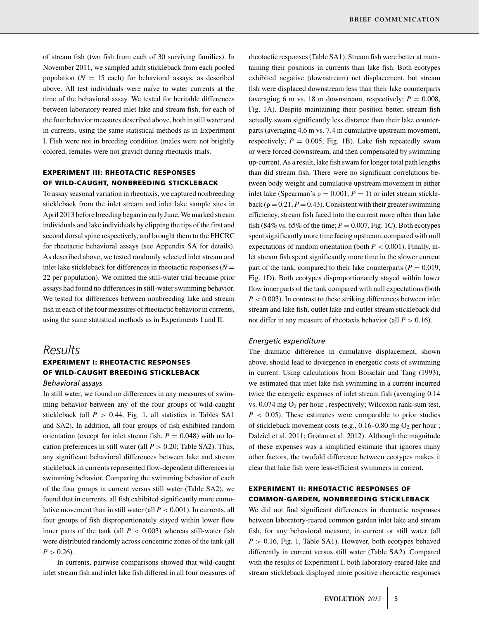of stream fish (two fish from each of 30 surviving families). In November 2011, we sampled adult stickleback from each pooled population  $(N = 15$  each) for behavioral assays, as described above. All test individuals were naïve to water currents at the time of the behavioral assay. We tested for heritable differences between laboratory-reared inlet lake and stream fish, for each of the four behavior measures described above, both in still water and in currents, using the same statistical methods as in Experiment I. Fish were not in breeding condition (males were not brightly colored, females were not gravid) during rheotaxis trials.

# **EXPERIMENT III: RHEOTACTIC RESPONSES OF WILD-CAUGHT, NONBREEDING STICKLEBACK**

To assay seasonal variation in rheotaxis, we captured nonbreeding stickleback from the inlet stream and inlet lake sample sites in April 2013 before breeding began in early June. We marked stream individuals and lake individuals by clipping the tips of the first and second dorsal spine respectively, and brought them to the FHCRC for rheotactic behavioral assays (see Appendix SA for details). As described above, we tested randomly selected inlet stream and inlet lake stickleback for differences in rheotactic responses  $(N =$ 22 per population). We omitted the still-water trial because prior assays had found no differences in still-water swimming behavior. We tested for differences between nonbreeding lake and stream fish in each of the four measures of rheotactic behavior in currents, using the same statistical methods as in Experiments I and II.

# *Results*

## **EXPERIMENT I: RHEOTACTIC RESPONSES OF WILD-CAUGHT BREEDING STICKLEBACK** *Behavioral assays*

In still water, we found no differences in any measures of swimming behavior between any of the four groups of wild-caught stickleback (all  $P > 0.44$ , Fig. 1, all statistics in Tables SA1 and SA2). In addition, all four groups of fish exhibited random orientation (except for inlet stream fish,  $P = 0.048$ ) with no location preferences in still water (all  $P > 0.20$ ; Table SA2). Thus, any significant behavioral differences between lake and stream stickleback in currents represented flow-dependent differences in swimming behavior. Comparing the swimming behavior of each of the four groups in current versus still water (Table SA2), we found that in currents, all fish exhibited significantly more cumulative movement than in still water (all *P <* 0.001). In currents, all four groups of fish disproportionately stayed within lower flow inner parts of the tank (all  $P < 0.003$ ) whereas still-water fish were distributed randomly across concentric zones of the tank (all  $P > 0.26$ .

In currents, pairwise comparisons showed that wild-caught inlet stream fish and inlet lake fish differed in all four measures of

rheotactic responses (Table SA1). Stream fish were better at maintaining their positions in currents than lake fish. Both ecotypes exhibited negative (downstream) net displacement, but stream fish were displaced downstream less than their lake counterparts (averaging 6 m vs. 18 m downstream, respectively;  $P = 0.008$ , Fig. 1A). Despite maintaining their position better, stream fish actually swam significantly less distance than their lake counterparts (averaging 4.6 m vs. 7.4 m cumulative upstream movement, respectively;  $P = 0.005$ , Fig. 1B). Lake fish repeatedly swam or were forced downstream, and then compensated by swimming up-current. As a result, lake fish swam for longer total path lengths than did stream fish. There were no significant correlations between body weight and cumulative upstream movement in either inlet lake (Spearman's  $\rho = 0.001$ ,  $P = 1$ ) or inlet stream stickleback ( $\rho = 0.21$ ,  $P = 0.43$ ). Consistent with their greater swimming efficiency, stream fish faced into the current more often than lake fish (84% vs.  $65\%$  of the time;  $P = 0.007$ , Fig. 1C). Both ecotypes spent significantly more time facing upstream, compared with null expectations of random orientation (both  $P < 0.001$ ). Finally, inlet stream fish spent significantly more time in the slower current part of the tank, compared to their lake counterparts ( $P = 0.019$ , Fig. 1D). Both ecotypes disproportionately stayed within lower flow inner parts of the tank compared with null expectations (both *P <* 0.003). In contrast to these striking differences between inlet stream and lake fish, outlet lake and outlet stream stickleback did not differ in any measure of rheotaxis behavior (all  $P > 0.16$ ).

#### *Energetic expenditure*

The dramatic difference in cumulative displacement, shown above, should lead to divergence in energetic costs of swimming in current. Using calculations from Boisclair and Tang (1993), we estimated that inlet lake fish swimming in a current incurred twice the energetic expenses of inlet stream fish (averaging 0.14 vs.  $0.074$  mg  $O_2$  per hour, respectively; Wilcoxon rank-sum test, *P <* 0.05). These estimates were comparable to prior studies of stickleback movement costs (e.g., 0.16–0.80 mg O<sub>2</sub> per hour ; Dalziel et al. 2011; Grøtan et al. 2012). Although the magnitude of these expenses was a simplified estimate that ignores many other factors, the twofold difference between ecotypes makes it clear that lake fish were less-efficient swimmers in current.

## **EXPERIMENT II: RHEOTACTIC RESPONSES OF COMMON-GARDEN, NONBREEDING STICKLEBACK**

We did not find significant differences in rheotactic responses between laboratory-reared common garden inlet lake and stream fish, for any behavioral measure, in current or still water (all  $P > 0.16$ , Fig. 1, Table SA1). However, both ecotypes behaved differently in current versus still water (Table SA2). Compared with the results of Experiment I, both laboratory-reared lake and stream stickleback displayed more positive rheotactic responses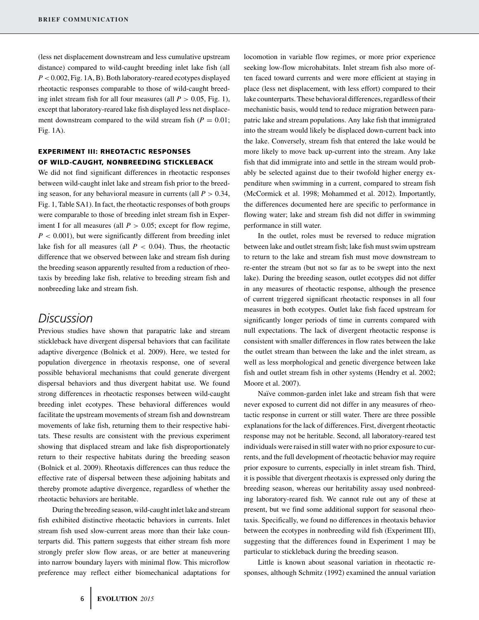(less net displacement downstream and less cumulative upstream distance) compared to wild-caught breeding inlet lake fish (all *P <* 0.002, Fig. 1A, B). Both laboratory-reared ecotypes displayed rheotactic responses comparable to those of wild-caught breeding inlet stream fish for all four measures (all  $P > 0.05$ , Fig. 1), except that laboratory-reared lake fish displayed less net displacement downstream compared to the wild stream fish  $(P = 0.01)$ ; Fig. 1A).

# **EXPERIMENT III: RHEOTACTIC RESPONSES OF WILD-CAUGHT, NONBREEDING STICKLEBACK**

We did not find significant differences in rheotactic responses between wild-caught inlet lake and stream fish prior to the breeding season, for any behavioral measure in currents (all  $P > 0.34$ , Fig. 1, Table SA1). In fact, the rheotactic responses of both groups were comparable to those of breeding inlet stream fish in Experiment I for all measures (all  $P > 0.05$ ; except for flow regime,  $P < 0.001$ ), but were significantly different from breeding inlet lake fish for all measures (all  $P < 0.04$ ). Thus, the rheotactic difference that we observed between lake and stream fish during the breeding season apparently resulted from a reduction of rheotaxis by breeding lake fish, relative to breeding stream fish and nonbreeding lake and stream fish.

# *Discussion*

Previous studies have shown that parapatric lake and stream stickleback have divergent dispersal behaviors that can facilitate adaptive divergence (Bolnick et al. 2009). Here, we tested for population divergence in rheotaxis response, one of several possible behavioral mechanisms that could generate divergent dispersal behaviors and thus divergent habitat use. We found strong differences in rheotactic responses between wild-caught breeding inlet ecotypes. These behavioral differences would facilitate the upstream movements of stream fish and downstream movements of lake fish, returning them to their respective habitats. These results are consistent with the previous experiment showing that displaced stream and lake fish disproportionately return to their respective habitats during the breeding season (Bolnick et al. 2009). Rheotaxis differences can thus reduce the effective rate of dispersal between these adjoining habitats and thereby promote adaptive divergence, regardless of whether the rheotactic behaviors are heritable.

During the breeding season, wild-caught inlet lake and stream fish exhibited distinctive rheotactic behaviors in currents. Inlet stream fish used slow-current areas more than their lake counterparts did. This pattern suggests that either stream fish more strongly prefer slow flow areas, or are better at maneuvering into narrow boundary layers with minimal flow. This microflow preference may reflect either biomechanical adaptations for

locomotion in variable flow regimes, or more prior experience seeking low-flow microhabitats. Inlet stream fish also more often faced toward currents and were more efficient at staying in place (less net displacement, with less effort) compared to their lake counterparts. These behavioral differences, regardless of their mechanistic basis, would tend to reduce migration between parapatric lake and stream populations. Any lake fish that immigrated into the stream would likely be displaced down-current back into the lake. Conversely, stream fish that entered the lake would be more likely to move back up-current into the stream. Any lake fish that did immigrate into and settle in the stream would probably be selected against due to their twofold higher energy expenditure when swimming in a current, compared to stream fish (McCormick et al. 1998; Mohammed et al. 2012). Importantly, the differences documented here are specific to performance in flowing water; lake and stream fish did not differ in swimming performance in still water.

In the outlet, roles must be reversed to reduce migration between lake and outlet stream fish; lake fish must swim upstream to return to the lake and stream fish must move downstream to re-enter the stream (but not so far as to be swept into the next lake). During the breeding season, outlet ecotypes did not differ in any measures of rheotactic response, although the presence of current triggered significant rheotactic responses in all four measures in both ecotypes. Outlet lake fish faced upstream for significantly longer periods of time in currents compared with null expectations. The lack of divergent rheotactic response is consistent with smaller differences in flow rates between the lake the outlet stream than between the lake and the inlet stream, as well as less morphological and genetic divergence between lake fish and outlet stream fish in other systems (Hendry et al. 2002; Moore et al. 2007).

Naïve common-garden inlet lake and stream fish that were never exposed to current did not differ in any measures of rheotactic response in current or still water. There are three possible explanations for the lack of differences. First, divergent rheotactic response may not be heritable. Second, all laboratory-reared test individuals were raised in still water with no prior exposure to currents, and the full development of rheotactic behavior may require prior exposure to currents, especially in inlet stream fish. Third, it is possible that divergent rheotaxis is expressed only during the breeding season, whereas our heritability assay used nonbreeding laboratory-reared fish. We cannot rule out any of these at present, but we find some additional support for seasonal rheotaxis. Specifically, we found no differences in rheotaxis behavior between the ecotypes in nonbreeding wild fish (Experiment III), suggesting that the differences found in Experiment 1 may be particular to stickleback during the breeding season.

Little is known about seasonal variation in rheotactic responses, although Schmitz (1992) examined the annual variation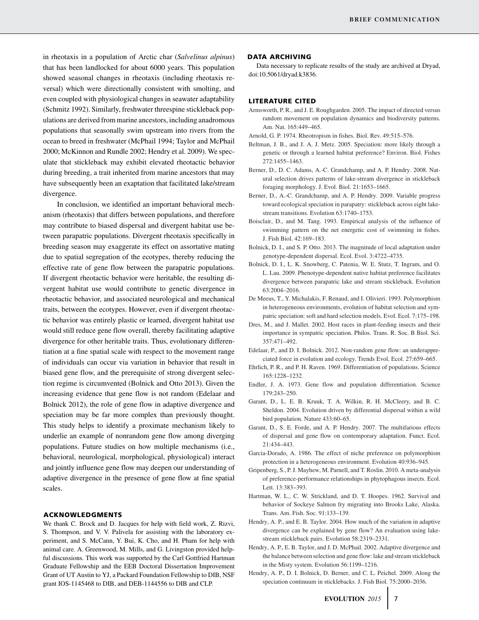in rheotaxis in a population of Arctic char (*Salvelinus alpinus*) that has been landlocked for about 6000 years. This population showed seasonal changes in rheotaxis (including rheotaxis reversal) which were directionally consistent with smolting, and even coupled with physiological changes in seawater adaptability (Schmitz 1992). Similarly, freshwater threespine stickleback populations are derived from marine ancestors, including anadromous populations that seasonally swim upstream into rivers from the ocean to breed in freshwater (McPhail 1994; Taylor and McPhail 2000; McKinnon and Rundle 2002; Hendry et al. 2009). We speculate that stickleback may exhibit elevated rheotactic behavior during breeding, a trait inherited from marine ancestors that may have subsequently been an exaptation that facilitated lake/stream divergence.

In conclusion, we identified an important behavioral mechanism (rheotaxis) that differs between populations, and therefore may contribute to biased dispersal and divergent habitat use between parapatric populations. Divergent rheotaxis specifically in breeding season may exaggerate its effect on assortative mating due to spatial segregation of the ecotypes, thereby reducing the effective rate of gene flow between the parapatric populations. If divergent rheotactic behavior were heritable, the resulting divergent habitat use would contribute to genetic divergence in rheotactic behavior, and associated neurological and mechanical traits, between the ecotypes. However, even if divergent rheotactic behavior was entirely plastic or learned, divergent habitat use would still reduce gene flow overall, thereby facilitating adaptive divergence for other heritable traits. Thus, evolutionary differentiation at a fine spatial scale with respect to the movement range of individuals can occur via variation in behavior that result in biased gene flow, and the prerequisite of strong divergent selection regime is circumvented (Bolnick and Otto 2013). Given the increasing evidence that gene flow is not random (Edelaar and Bolnick 2012), the role of gene flow in adaptive divergence and speciation may be far more complex than previously thought. This study helps to identify a proximate mechanism likely to underlie an example of nonrandom gene flow among diverging populations. Future studies on how multiple mechanisms (i.e., behavioral, neurological, morphological, physiological) interact and jointly influence gene flow may deepen our understanding of adaptive divergence in the presence of gene flow at fine spatial scales.

#### **ACKNOWLEDGMENTS**

We thank C. Brock and D. Jacques for help with field work, Z. Rizvi, S. Thompson, and V. V. Palivela for assisting with the laboratory experiment, and S. McCann, Y. Bui, K. Cho, and H. Pham for help with animal care. A. Greenwood, M. Mills, and G. Livingston provided helpful discussions. This work was supported by the Carl Gottfried Hartman Graduate Fellowship and the EEB Doctoral Dissertation Improvement Grant of UT Austin to YJ, a Packard Foundation Fellowship to DIB, NSF grant IOS-1145468 to DIB, and DEB-1144556 to DIB and CLP.

#### **DATA ARCHIVING**

Data necessary to replicate results of the study are archived at Dryad, doi:10.5061/dryad.k3836.

#### **LITERATURE CITED**

- Armsworth, P. R., and J. E. Roughgarden. 2005. The impact of directed versus random movement on population dynamics and biodiversity patterns. Am. Nat. 165:449–465.
- Arnold, G. P. 1974. Rheotropism in fishes. Biol. Rev. 49:515–576.
- Beltman, J. B., and J. A. J. Metz. 2005. Speciation: more likely through a genetic or through a learned habitat preference? Environ. Biol. Fishes 272:1455–1463.
- Berner, D., D. C. Adams, A.-C. Grandchamp, and A. P. Hendry. 2008. Natural selection drives patterns of lake-stream divergence in stickleback foraging morphology. J. Evol. Biol. 21:1653–1665.
- Berner, D., A.-C. Grandchamp, and A. P. Hendry. 2009. Variable progress toward ecological speciation in parapatry: stickleback across eight lakestream transitions. Evolution 63:1740–1753.
- Boisclair, D., and M. Tang. 1993. Empirical analysis of the influence of swimming pattern on the net energetic cost of swimming in fishes. J. Fish Biol. 42:169–183.
- Bolnick, D. I., and S. P. Otto. 2013. The magnitude of local adaptation under genotype-dependent dispersal. Ecol. Evol. 3:4722–4735.
- Bolnick, D. I., L. K. Snowberg, C. Patenia, W. E. Stutz, T. Ingram, and O. L. Lau. 2009. Phenotype-dependent native habitat preference facilitates divergence between parapatric lake and stream stickleback. Evolution 63:2004–2016.
- De Meeus, T., Y. Michalakis, F. Renaud, and I. Olivieri. 1993. Polymorphism in heterogeneous environments, evolution of habitat selection and sympatric speciation: soft and hard selection models. Evol. Ecol. 7:175–198.
- Dres, M., and J. Mallet. 2002. Host races in plant-feeding insects and their importance in sympatric speciation. Philos. Trans. R. Soc. B Biol. Sci. 357:471–492.
- Edelaar, P., and D. I. Bolnick. 2012. Non-random gene flow: an underappreciated force in evolution and ecology. Trends Evol. Ecol. 27:659–665.
- Ehrlich, P. R., and P. H. Raven. 1969. Differentiation of populations. Science 165:1228–1232.
- Endler, J. A. 1973. Gene flow and population differentiation. Science 179:243–250.
- Garant, D., L. E. B. Kruuk, T. A. Wilkin, R. H. McCleery, and B. C. Sheldon. 2004. Evolution driven by differential dispersal within a wild bird population. Nature 433:60–65.
- Garant, D., S. E. Forde, and A. P. Hendry. 2007. The multifarious effects of dispersal and gene flow on contemporary adaptation. Funct. Ecol. 21:434–443.
- Garcia-Dorado, A. 1986. The effect of niche preference on polymorphism protection in a heterogeneous environment. Evolution 40:936–945.
- Gripenberg, S., P. J. Mayhew, M. Parnell, and T. Roslin. 2010. A meta-analysis of preference-performance relationships in phytophagous insects. Ecol. Lett. 13:383–393.
- Hartman, W. L., C. W. Strickland, and D. T. Hoopes. 1962. Survival and behavior of Sockeye Salmon fry migrating into Brooks Lake, Alaska. Trans. Am. Fish. Soc. 91:133–139.
- Hendry, A. P., and E. B. Taylor. 2004. How much of the variation in adaptive divergence can be explained by gene flow? An evaluation using lakestream stickleback pairs. Evolution 58:2319–2331.
- Hendry, A. P., E. B. Taylor, and J. D. McPhail. 2002. Adaptive divergence and the balance between selection and gene flow: lake and stream stickleback in the Misty system. Evolution 56:1199–1216.
- Hendry, A. P., D. I. Bolnick, D. Berner, and C. L. Peichel. 2009. Along the speciation continuum in sticklebacks. J. Fish Biol. 75:2000–2036.